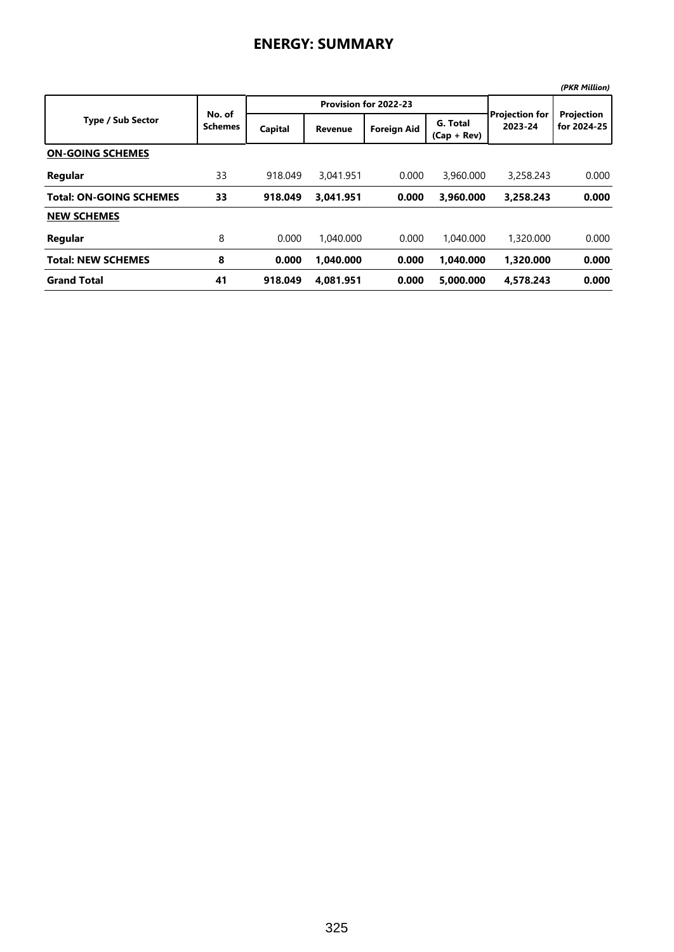## **ENERGY: SUMMARY**

|                                |                          |         |                       |                    |                           |                                  | (PKR Million)             |
|--------------------------------|--------------------------|---------|-----------------------|--------------------|---------------------------|----------------------------------|---------------------------|
|                                |                          |         | Provision for 2022-23 |                    |                           |                                  |                           |
| <b>Type / Sub Sector</b>       | No. of<br><b>Schemes</b> | Capital | <b>Revenue</b>        | <b>Foreign Aid</b> | G. Total<br>$(Cap + Rev)$ | <b>Projection for</b><br>2023-24 | Projection<br>for 2024-25 |
| <b>ON-GOING SCHEMES</b>        |                          |         |                       |                    |                           |                                  |                           |
| Regular                        | 33                       | 918.049 | 3.041.951             | 0.000              | 3,960,000                 | 3,258,243                        | 0.000                     |
| <b>Total: ON-GOING SCHEMES</b> | 33                       | 918.049 | 3,041.951             | 0.000              | 3,960.000                 | 3,258.243                        | 0.000                     |
| <b>NEW SCHEMES</b>             |                          |         |                       |                    |                           |                                  |                           |
| Regular                        | 8                        | 0.000   | 1.040.000             | 0.000              | 1.040.000                 | 1,320,000                        | 0.000                     |
| <b>Total: NEW SCHEMES</b>      | 8                        | 0.000   | 1.040.000             | 0.000              | 1.040.000                 | 1.320.000                        | 0.000                     |
| <b>Grand Total</b>             | 41                       | 918.049 | 4.081.951             | 0.000              | 5.000.000                 | 4.578.243                        | 0.000                     |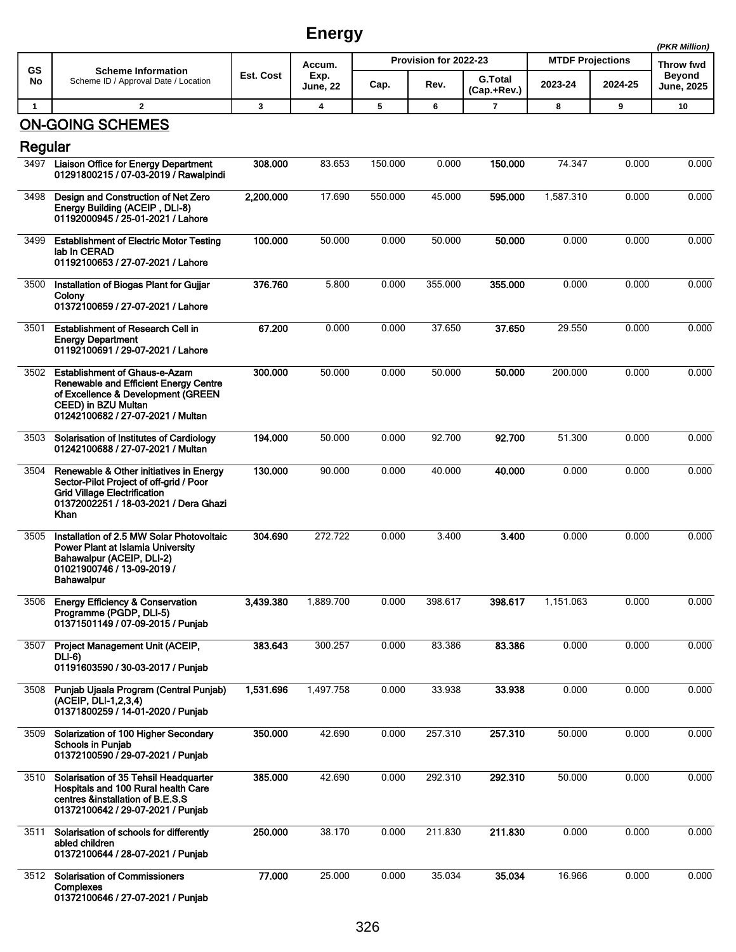## **Energy**

|              |                                                                                                                                                                                               |           | נט יי          |                       |         |                               |                         |         | (PKR Million)              |
|--------------|-----------------------------------------------------------------------------------------------------------------------------------------------------------------------------------------------|-----------|----------------|-----------------------|---------|-------------------------------|-------------------------|---------|----------------------------|
| <b>GS</b>    | <b>Scheme Information</b>                                                                                                                                                                     | Est. Cost | Accum.<br>Exp. | Provision for 2022-23 |         |                               | <b>MTDF Projections</b> |         | Throw fwd<br><b>Beyond</b> |
| No           | Scheme ID / Approval Date / Location                                                                                                                                                          |           | June, 22       | Cap.                  | Rev.    | <b>G.Total</b><br>(Cap.+Rev.) | 2023-24                 | 2024-25 | <b>June, 2025</b>          |
| $\mathbf{1}$ | $\mathbf{2}$                                                                                                                                                                                  | 3         | 4              | 5                     | 6       | $\overline{7}$                | 8                       | 9       | 10                         |
|              | <b>ON-GOING SCHEMES</b>                                                                                                                                                                       |           |                |                       |         |                               |                         |         |                            |
| Regular      | 3497 Liaison Office for Energy Department                                                                                                                                                     | 308.000   | 83.653         | 150.000               | 0.000   | 150.000                       | 74.347                  | 0.000   | 0.000                      |
|              | 01291800215 / 07-03-2019 / Rawalpindi                                                                                                                                                         |           |                |                       |         |                               |                         |         |                            |
| 3498         | Design and Construction of Net Zero<br>Energy Building (ACEIP, DLI-8)<br>01192000945 / 25-01-2021 / Lahore                                                                                    | 2,200.000 | 17.690         | 550.000               | 45.000  | 595.000                       | 1,587.310               | 0.000   | 0.000                      |
| 3499         | <b>Establishment of Electric Motor Testing</b><br>lab In CERAD<br>01192100653 / 27-07-2021 / Lahore                                                                                           | 100.000   | 50.000         | 0.000                 | 50.000  | 50.000                        | 0.000                   | 0.000   | 0.000                      |
| 3500         | Installation of Biogas Plant for Gujjar<br>Colony<br>01372100659 / 27-07-2021 / Lahore                                                                                                        | 376.760   | 5.800          | 0.000                 | 355.000 | 355.000                       | 0.000                   | 0.000   | 0.000                      |
| 3501         | Establishment of Research Cell in<br><b>Energy Department</b><br>01192100691 / 29-07-2021 / Lahore                                                                                            | 67.200    | 0.000          | 0.000                 | 37.650  | 37.650                        | 29.550                  | 0.000   | 0.000                      |
| 3502         | <b>Establishment of Ghaus-e-Azam</b><br><b>Renewable and Efficient Energy Centre</b><br>of Excellence & Development (GREEN<br><b>CEED) in BZU Multan</b><br>01242100682 / 27-07-2021 / Multan | 300.000   | 50.000         | 0.000                 | 50.000  | 50.000                        | 200.000                 | 0.000   | 0.000                      |
| 3503         | Solarisation of Institutes of Cardiology<br>01242100688 / 27-07-2021 / Multan                                                                                                                 | 194.000   | 50.000         | 0.000                 | 92.700  | 92.700                        | 51.300                  | 0.000   | 0.000                      |
| 3504         | Renewable & Other initiatives in Energy<br>Sector-Pilot Project of off-grid / Poor<br><b>Grid Village Electrification</b><br>01372002251 / 18-03-2021 / Dera Ghazi<br><b>Khan</b>             | 130.000   | 90.000         | 0.000                 | 40.000  | 40.000                        | 0.000                   | 0.000   | 0.000                      |
| 3505         | Installation of 2.5 MW Solar Photovoltaic<br>Power Plant at Islamia University<br>Bahawalpur (ACEIP, DLI-2)<br>01021900746 / 13-09-2019 /<br>Bahawaipur                                       | 304.690   | 272.722        | 0.000                 | 3.400   | 3.400                         | 0.000                   | 0.000   | 0.000                      |
| 3506         | <b>Energy Efficiency &amp; Conservation</b><br>Programme (PGDP, DLI-5)<br>01371501149 / 07-09-2015 / Punjab                                                                                   | 3,439.380 | 1,889.700      | 0.000                 | 398.617 | 398.617                       | 1,151.063               | 0.000   | 0.000                      |
| 3507         | Project Management Unit (ACEIP,<br><b>DLI-6)</b><br>01191603590 / 30-03-2017 / Punjab                                                                                                         | 383.643   | 300.257        | 0.000                 | 83.386  | 83.386                        | 0.000                   | 0.000   | 0.000                      |
| 3508         | Punjab Ujaala Program (Central Punjab)<br>(ACEIP, DLI-1,2,3,4)<br>01371800259 / 14-01-2020 / Punjab                                                                                           | 1,531.696 | 1,497.758      | 0.000                 | 33.938  | 33.938                        | 0.000                   | 0.000   | 0.000                      |
| 3509         | Solarization of 100 Higher Secondary<br><b>Schools in Punjab</b><br>01372100590 / 29-07-2021 / Punjab                                                                                         | 350.000   | 42.690         | 0.000                 | 257.310 | 257.310                       | 50.000                  | 0.000   | 0.000                      |
| 3510         | Solarisation of 35 Tehsil Headquarter<br>Hospitals and 100 Rural health Care<br>centres &installation of B.E.S.S<br>01372100642 / 29-07-2021 / Punjab                                         | 385.000   | 42.690         | 0.000                 | 292.310 | 292.310                       | 50.000                  | 0.000   | 0.000                      |
| 3511         | Solarisation of schools for differently<br>abled children<br>01372100644 / 28-07-2021 / Punjab                                                                                                | 250.000   | 38.170         | 0.000                 | 211.830 | 211.830                       | 0.000                   | 0.000   | 0.000                      |
| 3512         | <b>Solarisation of Commissioners</b><br>Complexes<br>01372100646 / 27-07-2021 / Punjab                                                                                                        | 77.000    | 25.000         | 0.000                 | 35.034  | 35.034                        | 16.966                  | 0.000   | 0.000                      |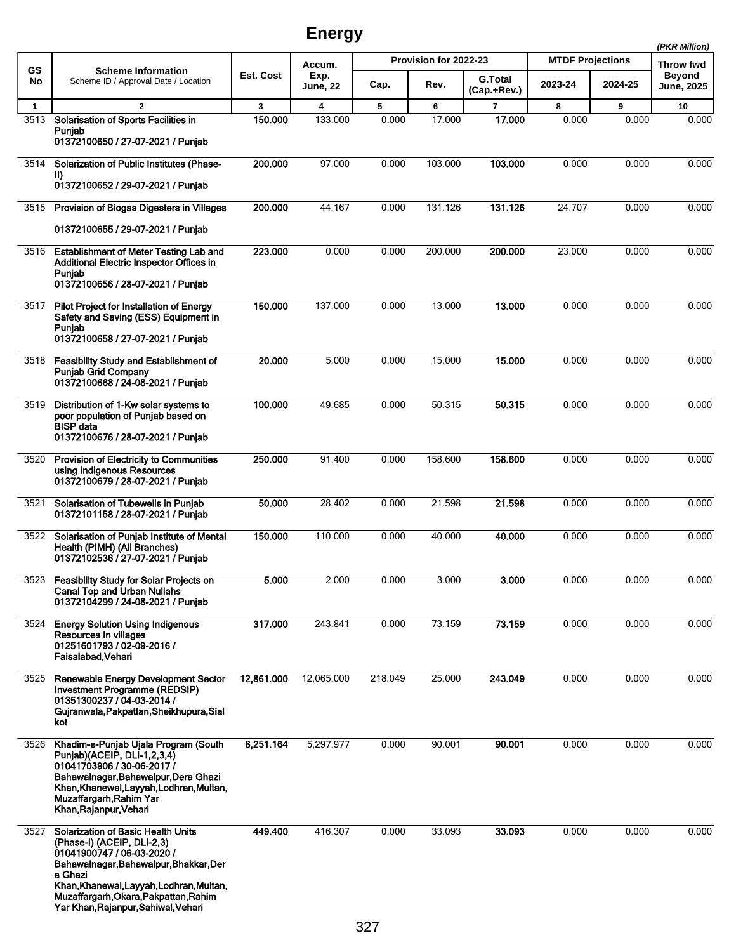## **Energy**

|              |                                                                                                                                                                                                                                                                                        |            |                 |                       |         |                |                         | (PKR Million) |                            |
|--------------|----------------------------------------------------------------------------------------------------------------------------------------------------------------------------------------------------------------------------------------------------------------------------------------|------------|-----------------|-----------------------|---------|----------------|-------------------------|---------------|----------------------------|
| GS<br>No     | <b>Scheme Information</b><br>Scheme ID / Approval Date / Location                                                                                                                                                                                                                      | Est. Cost  | Accum.<br>Exp.  | Provision for 2022-23 |         | <b>G.Total</b> | <b>MTDF Projections</b> |               | Throw fwd<br><b>Beyond</b> |
|              |                                                                                                                                                                                                                                                                                        |            | <b>June, 22</b> | Cap.                  | Rev.    | (Cap.+Rev.)    | 2023-24                 | 2024-25       | <b>June, 2025</b>          |
| $\mathbf{1}$ | $\overline{2}$                                                                                                                                                                                                                                                                         | 3          | 4               | 5                     | 6       | $\overline{7}$ | 8                       | 9             | 10                         |
| 3513         | Solarisation of Sports Facilities in<br>Puniab<br>01372100650 / 27-07-2021 / Punjab                                                                                                                                                                                                    | 150.000    | 133.000         | 0.000                 | 17.000  | 17.000         | 0.000                   | 0.000         | 0.000                      |
| 3514         |                                                                                                                                                                                                                                                                                        | 200.000    | 97.000          | 0.000                 | 103.000 | 103.000        | 0.000                   | 0.000         | 0.000                      |
|              | Solarization of Public Institutes (Phase-<br>II)<br>01372100652 / 29-07-2021 / Punjab                                                                                                                                                                                                  |            |                 |                       |         |                |                         |               |                            |
| 3515         | Provision of Biogas Digesters in Villages                                                                                                                                                                                                                                              | 200.000    | 44.167          | 0.000                 | 131.126 | 131.126        | 24.707                  | 0.000         | 0.000                      |
|              | 01372100655 / 29-07-2021 / Punjab                                                                                                                                                                                                                                                      |            |                 |                       |         |                |                         |               |                            |
| 3516         | <b>Establishment of Meter Testing Lab and</b><br>Additional Electric Inspector Offices in<br>Punjab<br>01372100656 / 28-07-2021 / Punjab                                                                                                                                               | 223,000    | 0.000           | 0.000                 | 200.000 | 200,000        | 23.000                  | 0.000         | 0.000                      |
| 3517         | Pilot Project for Installation of Energy<br>Safety and Saving (ESS) Equipment in<br>Punjab<br>01372100658 / 27-07-2021 / Punjab                                                                                                                                                        | 150.000    | 137.000         | 0.000                 | 13.000  | 13.000         | 0.000                   | 0.000         | 0.000                      |
| 3518         | <b>Feasibility Study and Establishment of</b><br><b>Puniab Grid Company</b><br>01372100668 / 24-08-2021 / Punjab                                                                                                                                                                       | 20.000     | 5.000           | 0.000                 | 15.000  | 15.000         | 0.000                   | 0.000         | 0.000                      |
| 3519         | Distribution of 1-Kw solar systems to<br>poor population of Punjab based on<br><b>BISP</b> data<br>01372100676 / 28-07-2021 / Punjab                                                                                                                                                   | 100.000    | 49.685          | 0.000                 | 50.315  | 50.315         | 0.000                   | 0.000         | 0.000                      |
| 3520         | Provision of Electricity to Communities<br>using Indigenous Resources<br>01372100679 / 28-07-2021 / Punjab                                                                                                                                                                             | 250.000    | 91.400          | 0.000                 | 158.600 | 158.600        | 0.000                   | 0.000         | 0.000                      |
| 3521         | Solarisation of Tubewells in Punjab<br>01372101158 / 28-07-2021 / Punjab                                                                                                                                                                                                               | 50.000     | 28.402          | 0.000                 | 21.598  | 21.598         | 0.000                   | 0.000         | 0.000                      |
| 3522         | Solarisation of Punjab Institute of Mental<br>Health (PIMH) (All Branches)<br>01372102536 / 27-07-2021 / Punjab                                                                                                                                                                        | 150.000    | 110.000         | 0.000                 | 40.000  | 40.000         | 0.000                   | 0.000         | 0.000                      |
| 3523         | <b>Feasibility Study for Solar Projects on</b><br><b>Canal Top and Urban Nullahs</b><br>01372104299 / 24-08-2021 / Punjab                                                                                                                                                              | 5.000      | 2.000           | 0.000                 | 3.000   | 3.000          | 0.000                   | 0.000         | 0.000                      |
| 3524         | <b>Energy Solution Using Indigenous</b><br>Resources In villages<br>01251601793 / 02-09-2016 /<br>Faisalabad, Vehari                                                                                                                                                                   | 317.000    | 243.841         | 0.000                 | 73.159  | 73.159         | 0.000                   | 0.000         | 0.000                      |
| 3525         | Renewable Energy Development Sector<br>Investment Programme (REDSIP)<br>01351300237 / 04-03-2014 /<br>Gujranwala, Pakpattan, Sheikhupura, Sial<br>kot                                                                                                                                  | 12,861.000 | 12,065.000      | 218.049               | 25.000  | 243.049        | 0.000                   | 0.000         | 0.000                      |
| 3526         | Khadim-e-Punjab Ujala Program (South<br>Punjab)(ACEIP, DLI-1,2,3,4)<br>01041703906 / 30-06-2017 /<br>Bahawalnagar, Bahawalpur, Dera Ghazi<br>Khan, Khanewal, Layyah, Lodhran, Multan,<br>Muzaffargarh, Rahim Yar<br>Khan, Rajanpur, Vehari                                             | 8,251.164  | 5,297.977       | 0.000                 | 90.001  | 90.001         | 0.000                   | 0.000         | 0.000                      |
| 3527         | <b>Solarization of Basic Health Units</b><br>(Phase-I) (ACEIP, DLI-2,3)<br>01041900747 / 06-03-2020 /<br>Bahawalnagar, Bahawalpur, Bhakkar, Der<br>a Ghazi<br>Khan, Khanewal, Layyah, Lodhran, Multan,<br>Muzaffargarh, Okara, Pakpattan, Rahim<br>Yar Khan, Rajanpur, Sahiwal, Vehari | 449.400    | 416.307         | 0.000                 | 33.093  | 33.093         | 0.000                   | 0.000         | 0.000                      |